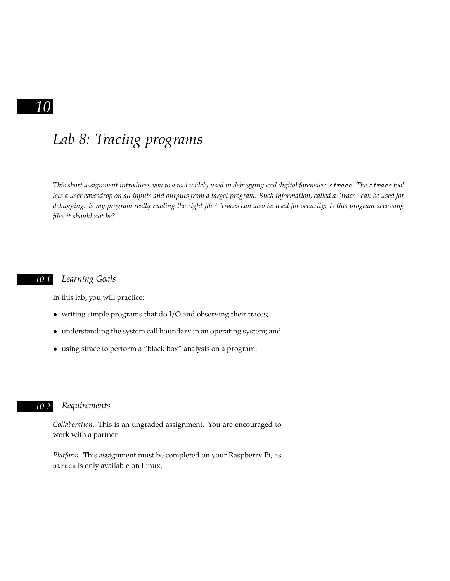## *10*

# *Lab 8: Tracing programs*

*This short assignment introduces you to a tool widely used in debugging and digital forensics: strace. The strace tool lets a user eavesdrop on all inputs and outputs from a target program. Such information, called a "trace" can be used for debugging: is my program really reading the right fle? Traces can also be used for security: is this program accessing fles it should not be?*

#### *10.1 Learning Goals*

In this lab, you will practice:

- writing simple programs that do I/O and observing their traces;
- understanding the system call boundary in an operating system; and
- using strace to perform a "black box" analysis on a program.

### *10.2 Requirements*

*Collaboration*. This is an ungraded assignment. You are encouraged to work with a partner.

*Platform*. This assignment must be completed on your Raspberry Pi, as strace is only available on Linux.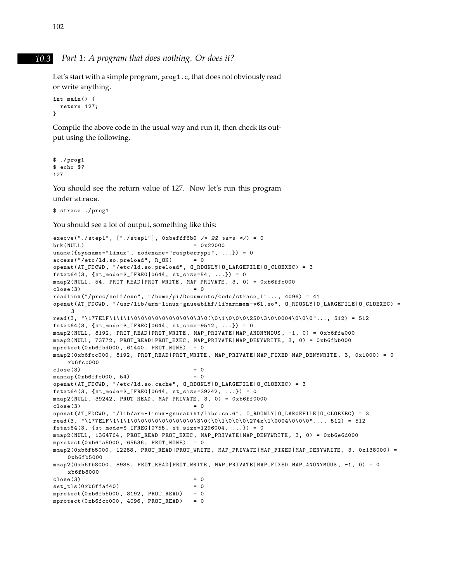#### *10.3 Part 1: A program that does nothing. Or does it?*

Let's start with a simple program, prog1.c, that does not obviously read or write anything.

```
int main() {
  return 127;
}
```
Compile the above code in the usual way and run it, then check its output using the following.

```
$ ./prog1
$ echo $?
127
```
You should see the return value of 127. Now let's run this program under strace.

```
$ strace ./prog1
```
You should see a lot of output, something like this:

```
execve("./step1", ["./step1"], 0xbefff6b0 /* 22 vars */)=0
brk(NULL) = 0x22000
uname({sysname="Linux", nodename="raspberrypi", ...}) = 0
access("/etc/Id.so.preload", R_OK) = 0openat(AT_FDCWD, "/etc/ld.so.preload", O_RDONLY|O_LARGEFILE|O_CLOEXEC) = 3
fstat64(3, {st_mode=S_IFREG|0644, st_size=54, ...}) = 0
mmap2(NULL, 54, PROT_READ|PROT_WRITE, MAP_PRIVATE, 3, 0) = 0xb6ffc000
\text{close}(3) = 0readlink("/proc/self/exe", "/home/pi/Documents/Code/strace_l"..., 4096) = 41
openat(AT_FDCWD, "/usr/lib/arm-linux-gnueabihf/libarmmem-v6l.so", O_RDONLY|O_LARGEFILE|O_CLOEXEC) =
    3
read(3, "177ELF\1111\0\0\0\0\0\0\0\0\0\3\0\(011\0\0\0\0\250\3\0\0004\0\0\0"..., 512) = 512
fstat64(3, \{st\_mode=S\_IFREG|0644, st\_size=9512, ...\}) = 0mmap2(NULL, 8192, PROT_READ|PROT_WRITE , MAP_PRIVATE|MAP_ANONYMOUS , -1, 0) = 0xb6ffa000
mmap2(NULL, 73772, PROT_READ|PROT_EXEC, MAP_PRIVATE|MAP_DENYWRITE , 3, 0) = 0xb6fbb000
mprotect(0xb6fbd000, 61440, PROT_NONE) = 0mmap2(0xb6fcc000, 8192, PROT_READ|PROT_WRITE, MAP_PRIVATE|MAP_FIXED|MAP_DENYWRITE , 3, 0x1000) = 0
   xb6fcc000
close(3) = 0
munnap(0xb6ffc000, 54) = 0openat(AT_FDCWD, "/etc/ld.so.cache", O_RDONLY|O_LARGEFILE|O_CLOEXEC) = 3
fstat64(3, {st_mode=S_IFREG|0644, st_size=39242, ...}) = 0
mmap2(NULL, 39242, PROT_READ, MAP_PRIVATE, 3, 0) = 0xb6ff0000
close(3) = 0
openat(AT_FDCWD, "/lib/arm-linux-gnueabihf/libc.so.6", O_RDONLY|O_LARGEFILE|O_CLOEXEC) = 3
read(3, "177ELF\11\1\0\0\0\0\0\0\0\0\0\0\1\0\0\0\274x\1\0004\0\0\0"..., 512) = 512
fstat64(3, {st_mode=S_IFREG|0755, st_size=1296004, ...}) = 0
mmap2(NULL, 1364764, PROT_READ|PROT_EXEC, MAP_PRIVATE|MAP_DENYWRITE , 3, 0) = 0xb6e6d000
mprotect(0xb6fa5000, 65536, PROT_NONE) = 0
mmap2(0xb6fb5000, 12288, PROT_READ|PROT_WRITE, MAP_PRIVATE|MAP_FIXED|MAP_DENYWRITE, 3, 0x138000) =
   0xb6fb5000
mmap2(0xb6fb8000 , 8988, PROT_READ|PROT_WRITE , MAP_PRIVATE|MAP_FIXED|MAP_ANONYMOUS , -1, 0) = 0
   xb6fb8000
close(3) = 0
set tls(0xb6ffaf40) = 0
mprotext(0xb6fb5000, 8192, PROT\_READ) = 0mprotect(0xb6fcc000, 4096, PROT\_READ) = 0
```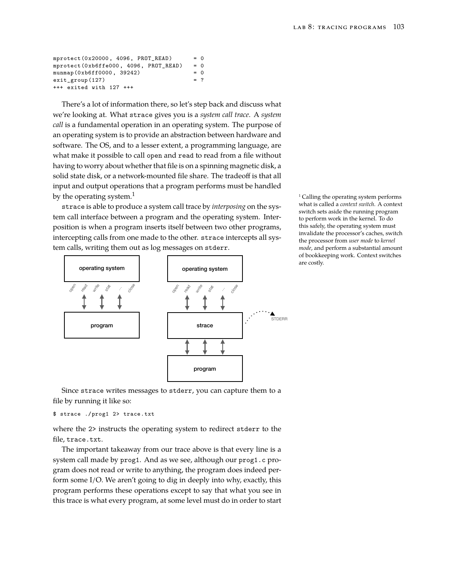| mprotect $(0x20000, 4096, PROT READ)$  | $= 0$ |  |
|----------------------------------------|-------|--|
| mprotect (0xb6ffe000, 4096, PROT_READ) | $= 0$ |  |
| munmap (0xb6ff0000, 39242)             | $= 0$ |  |
| $exit_group(127)$                      | $=$ ? |  |
| $+++$ exited with 127 $+++$            |       |  |

There's a lot of information there, so let's step back and discuss what we're looking at. What strace gives you is a *system call trace*. A *system call* is a fundamental operation in an operating system. The purpose of an operating system is to provide an abstraction between hardware and software. The OS, and to a lesser extent, a programming language, are what make it possible to call open and read to read from a file without having to worry about whether that file is on a spinning magnetic disk, a solid state disk, or a network-mounted file share. The tradeoff is that all input and output operations that a program performs must be handled by the operating system.<sup>1</sup>  $\blacksquare$  1 Calling the operating system performs

strace is able to produce a system call trace by *interposing* on the system call interface between a program and the operating system. Interposition is when a program inserts itself between two other programs, intercepting calls from one made to the other. strace intercepts all system calls, writing them out as log messages on stderr.



what is called a *context switch*. A context switch sets aside the running program to perform work in the kernel. To do this safely, the operating system must invalidate the processor's caches, switch the processor from *user mode* to *kernel mode*, and perform a substantial amount of bookkeeping work. Context switches are costly.

Since strace writes messages to stderr, you can capture them to a file by running it like so:

\$ strace ./prog1 2> trace.txt

where the 2> instructs the operating system to redirect stderr to the file, trace.txt.

The important takeaway from our trace above is that every line is a system call made by prog1. And as we see, although our prog1.c program does not read or write to anything, the program does indeed perform some I/O. We aren't going to dig in deeply into why, exactly, this program performs these operations except to say that what you see in this trace is what every program, at some level must do in order to start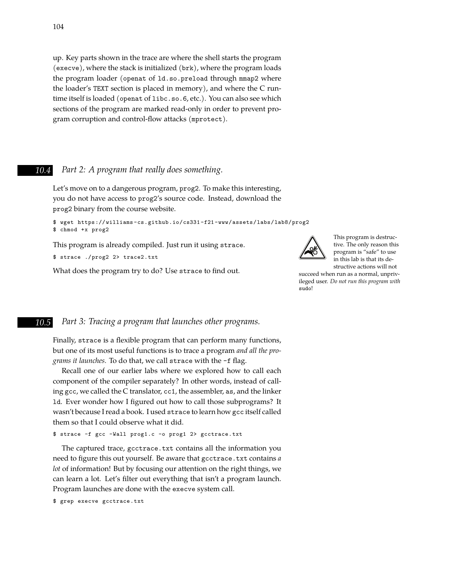up. Key parts shown in the trace are where the shell starts the program (execve), where the stack is initialized (brk), where the program loads the program loader (openat of ld.so.preload through mmap2 where the loader's TEXT section is placed in memory), and where the C runtime itself is loaded (openat of libc.so.6, etc.). You can also see which sections of the program are marked read-only in order to prevent program corruption and control-fow attacks (mprotect).

#### *10.4 Part 2: A program that really does something.*

Let's move on to a dangerous program, prog2. To make this interesting, you do not have access to prog2's source code. Instead, download the prog2 binary from the course website.

```
$ wget https://williams-cs.github.io/cs331-f21-www/assets/labs/lab8/prog2
$ chmod +x prog2
```
This program is already compiled. Just run it using strace.

```
$ strace ./prog2 2> trace2.txt
```
What does the program try to do? Use strace to find out.



This program is destructive. The only reason this program is "safe" to use in this lab is that its destructive actions will not

succeed when run as a normal, unprivileged user. *Do not run this program with* sudo!

## *10.5 Part 3: Tracing a program that launches other programs.*

Finally, strace is a flexible program that can perform many functions, but one of its most useful functions is to trace a program *and all the programs it launches.* To do that, we call strace with the -f fag.

Recall one of our earlier labs where we explored how to call each component of the compiler separately? In other words, instead of calling gcc, we called the C translator, cc1, the assembler, as, and the linker 1d. Ever wonder how I figured out how to call those subprograms? It wasn't because I read a book. I used strace to learn how gcc itself called them so that I could observe what it did.

\$ strace -f gcc -Wall prog1.c -o prog1 2> gcctrace.txt

The captured trace, gcctrace.txt contains all the information you need to figure this out yourself. Be aware that gcctrace.txt contains a *lot* of information! But by focusing our attention on the right things, we can learn a lot. Let's flter out everything that isn't a program launch. Program launches are done with the execve system call.

\$ grep execve gcctrace.txt